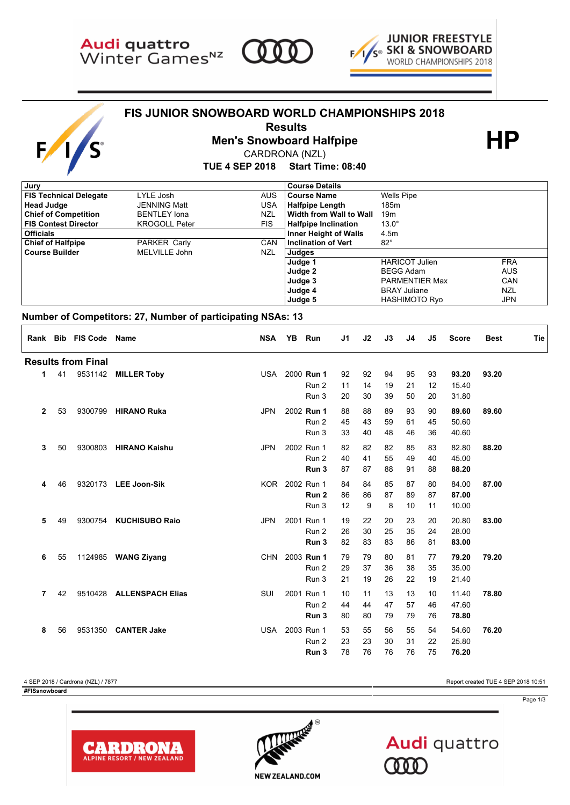

S





## **FIS JUNIOR SNOWBOARD WORLD CHAMPIONSHIPS 2018**



**Results<br>Men's Snowboard Halfpipe**<br>CARDRONA (NZL)

CARDRONA (NZL)

**TUE 4 SEP 2018 Start Time: 08:40**

| , Jury                        |                      |            | <b>Course Details</b>        |                       |            |
|-------------------------------|----------------------|------------|------------------------------|-----------------------|------------|
| <b>FIS Technical Delegate</b> | LYLE Josh            | AUS.       | <b>Course Name</b>           | <b>Wells Pipe</b>     |            |
| <b>Head Judge</b>             | <b>JENNING Matt</b>  | USA        | <b>Halfpipe Length</b>       | 185m                  |            |
| <b>Chief of Competition</b>   | <b>BENTLEY</b> Iona  | <b>NZL</b> | Width from Wall to Wall      | 19 <sub>m</sub>       |            |
| <b>FIS Contest Director</b>   | <b>KROGOLL Peter</b> | FIS.       | <b>Halfpipe Inclination</b>  | $13.0^\circ$          |            |
| <b>Officials</b>              |                      |            | <b>Inner Height of Walls</b> | 4.5m                  |            |
| <b>Chief of Halfpipe</b>      | <b>PARKER Carly</b>  | CAN        | Inclination of Vert          | $82^{\circ}$          |            |
| <b>Course Builder</b>         | MELVILLE John        | <b>NZL</b> | Judges                       |                       |            |
|                               |                      |            | Judge 1                      | <b>HARICOT Julien</b> | <b>FRA</b> |
|                               |                      |            | Judge 2                      | <b>BEGG Adam</b>      | <b>AUS</b> |
|                               |                      |            | Judge 3                      | <b>PARMENTIER Max</b> | CAN        |
|                               |                      |            | Judge 4                      | <b>BRAY Juliane</b>   | <b>NZL</b> |
|                               |                      |            | Judge 5                      | <b>HASHIMOTO Rvo</b>  | <b>JPN</b> |
|                               |                      |            |                              |                       |            |

#### **Number of Competitors: 27, Number of participating NSAs: 13**

|              |    | Rank Bib FIS Code Name    |                          | <b>NSA</b> | YB | Run              | J <sub>1</sub> | J2 | J3 | J4       | J5       | <b>Score</b> | <b>Best</b> | Tie |
|--------------|----|---------------------------|--------------------------|------------|----|------------------|----------------|----|----|----------|----------|--------------|-------------|-----|
|              |    | <b>Results from Final</b> |                          |            |    |                  |                |    |    |          |          |              |             |     |
| 1.           | 41 |                           | 9531142 MILLER Toby      | USA        |    | 2000 Run 1       | 92             | 92 | 94 | 95       | 93       | 93.20        | 93.20       |     |
|              |    |                           |                          |            |    | Run 2            | 11             | 14 | 19 | 21       | 12       | 15.40        |             |     |
|              |    |                           |                          |            |    | Run 3            | 20             | 30 | 39 | 50       | 20       | 31.80        |             |     |
| $\mathbf{2}$ | 53 |                           | 9300799 HIRANO Ruka      | <b>JPN</b> |    | 2002 Run 1       | 88             | 88 | 89 | 93       | 90       | 89.60        | 89.60       |     |
|              |    |                           |                          |            |    | Run 2            | 45             | 43 | 59 | 61       | 45       | 50.60        |             |     |
|              |    |                           |                          |            |    | Run 3            | 33             | 40 | 48 | 46       | 36       | 40.60        |             |     |
|              |    |                           | 9300803 HIRANO Kaishu    | <b>JPN</b> |    | 2002 Run 1       |                | 82 | 82 |          |          | 82.80        |             |     |
| 3            | 50 |                           |                          |            |    | Run 2            | 82<br>40       | 41 | 55 | 85<br>49 | 83<br>40 | 45.00        | 88.20       |     |
|              |    |                           |                          |            |    | Run 3            | 87             | 87 | 88 | 91       | 88       | 88.20        |             |     |
|              |    |                           |                          |            |    |                  |                |    |    |          |          |              |             |     |
| 4            | 46 |                           | 9320173 LEE Joon-Sik     | <b>KOR</b> |    | 2002 Run 1       | 84             | 84 | 85 | 87       | 80       | 84.00        | 87.00       |     |
|              |    |                           |                          |            |    | Run <sub>2</sub> | 86             | 86 | 87 | 89       | 87       | 87.00        |             |     |
|              |    |                           |                          |            |    | Run 3            | 12             | 9  | 8  | 10       | 11       | 10.00        |             |     |
| 5            | 49 | 9300754                   | <b>KUCHISUBO Raio</b>    | <b>JPN</b> |    | 2001 Run 1       | 19             | 22 | 20 | 23       | 20       | 20.80        | 83.00       |     |
|              |    |                           |                          |            |    | Run 2            | 26             | 30 | 25 | 35       | 24       | 28.00        |             |     |
|              |    |                           |                          |            |    | Run 3            | 82             | 83 | 83 | 86       | 81       | 83.00        |             |     |
| 6            | 55 | 1124985                   | <b>WANG Ziyang</b>       | <b>CHN</b> |    | 2003 Run 1       | 79             | 79 | 80 | 81       | 77       | 79.20        | 79.20       |     |
|              |    |                           |                          |            |    | Run 2            | 29             | 37 | 36 | 38       | 35       | 35.00        |             |     |
|              |    |                           |                          |            |    | Run 3            | 21             | 19 | 26 | 22       | 19       | 21.40        |             |     |
|              |    |                           |                          |            |    |                  |                |    |    |          |          |              |             |     |
| 7            | 42 |                           | 9510428 ALLENSPACH Elias | SUI        |    | 2001 Run 1       | 10             | 11 | 13 | 13       | 10       | 11.40        | 78.80       |     |
|              |    |                           |                          |            |    | Run 2            | 44             | 44 | 47 | 57       | 46       | 47.60        |             |     |
|              |    |                           |                          |            |    | Run 3            | 80             | 80 | 79 | 79       | 76       | 78.80        |             |     |
| 8            | 56 |                           | 9531350 CANTER Jake      | <b>USA</b> |    | 2003 Run 1       | 53             | 55 | 56 | 55       | 54       | 54.60        | 76.20       |     |
|              |    |                           |                          |            |    | Run 2            | 23             | 23 | 30 | 31       | 22       | 25.80        |             |     |
|              |    |                           |                          |            |    | Run 3            | 78             | 76 | 76 | 76       | 75       | 76.20        |             |     |

4 SEP 2018 / Cardrona (NZL) / 7877 Report created TUE 4 SEP 2018 10:51

**CARDRONA ALPINE RESORT / NEW ZEALAND** 

**#FISsnowboard FIS Results provided by GSS**

Page 1/3



Audi quattro 000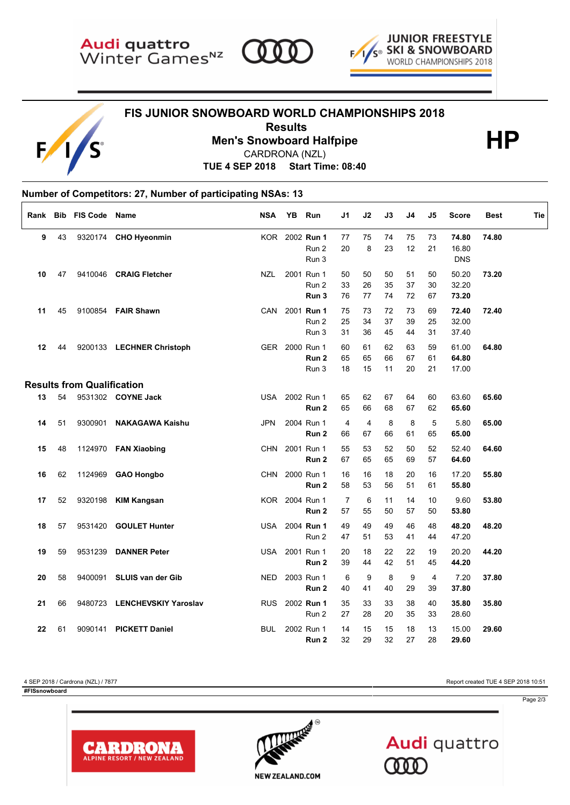





## **FIS JUNIOR SNOWBOARD WORLD CHAMPIONSHIPS 2018**



**Results<br>Men's Snowboard Halfpipe**<br>CARDRONA (NZL)

**TUE 4 SEP 2018 Start Time: 08:40** CARDRONA (NZL)

#### **Number of Competitors: 27, Number of participating NSAs: 13**

| Rank |    | <b>Bib FIS Code</b>               | Name                        | <b>NSA</b> | YΒ | Run                              | J1                   | J2                   | J3             | J4             | J5             | Score                        | Best  | Tie |
|------|----|-----------------------------------|-----------------------------|------------|----|----------------------------------|----------------------|----------------------|----------------|----------------|----------------|------------------------------|-------|-----|
| 9    | 43 | 9320174                           | <b>CHO Hyeonmin</b>         |            |    | KOR 2002 Run 1<br>Run 2<br>Run 3 | 77<br>20             | 75<br>8              | 74<br>23       | 75<br>12       | 73<br>21       | 74.80<br>16.80<br><b>DNS</b> | 74.80 |     |
| 10   | 47 | 9410046                           | <b>CRAIG Fletcher</b>       | <b>NZL</b> |    | 2001 Run 1<br>Run 2<br>Run 3     | 50<br>33<br>76       | 50<br>26<br>77       | 50<br>35<br>74 | 51<br>37<br>72 | 50<br>30<br>67 | 50.20<br>32.20<br>73.20      | 73.20 |     |
| 11   | 45 |                                   | 9100854 FAIR Shawn          | CAN        |    | 2001 Run 1<br>Run 2<br>Run 3     | 75<br>25<br>31       | 73<br>34<br>36       | 72<br>37<br>45 | 73<br>39<br>44 | 69<br>25<br>31 | 72.40<br>32.00<br>37.40      | 72.40 |     |
| 12   | 44 |                                   | 9200133 LECHNER Christoph   |            |    | GER 2000 Run 1<br>Run 2<br>Run 3 | 60<br>65<br>18       | 61<br>65<br>15       | 62<br>66<br>11 | 63<br>67<br>20 | 59<br>61<br>21 | 61.00<br>64.80<br>17.00      | 64.80 |     |
|      |    | <b>Results from Qualification</b> |                             |            |    |                                  |                      |                      |                |                |                |                              |       |     |
| 13   | 54 |                                   | 9531302 COYNE Jack          | <b>USA</b> |    | 2002 Run 1<br>Run 2              | 65<br>65             | 62<br>66             | 67<br>68       | 64<br>67       | 60<br>62       | 63.60<br>65.60               | 65.60 |     |
| 14   | 51 | 9300901                           | <b>NAKAGAWA Kaishu</b>      | <b>JPN</b> |    | 2004 Run 1<br>Run <sub>2</sub>   | 4<br>66              | $\overline{4}$<br>67 | 8<br>66        | 8<br>61        | 5<br>65        | 5.80<br>65.00                | 65.00 |     |
| 15   | 48 |                                   | 1124970 FAN Xiaobing        | <b>CHN</b> |    | 2001 Run 1<br>Run 2              | 55<br>67             | 53<br>65             | 52<br>65       | 50<br>69       | 52<br>57       | 52.40<br>64.60               | 64.60 |     |
| 16   | 62 | 1124969                           | <b>GAO Hongbo</b>           | <b>CHN</b> |    | 2000 Run 1<br>Run <sub>2</sub>   | 16<br>58             | 16<br>53             | 18<br>56       | 20<br>51       | 16<br>61       | 17.20<br>55.80               | 55.80 |     |
| 17   | 52 | 9320198                           | <b>KIM Kangsan</b>          | <b>KOR</b> |    | 2004 Run 1<br>Run 2              | $\overline{7}$<br>57 | 6<br>55              | 11<br>50       | 14<br>57       | 10<br>50       | 9.60<br>53.80                | 53.80 |     |
| 18   | 57 | 9531420                           | <b>GOULET Hunter</b>        | <b>USA</b> |    | 2004 Run 1<br>Run 2              | 49<br>47             | 49<br>51             | 49<br>53       | 46<br>41       | 48<br>44       | 48.20<br>47.20               | 48.20 |     |
| 19   | 59 | 9531239                           | <b>DANNER Peter</b>         | <b>USA</b> |    | 2001 Run 1<br>Run <sub>2</sub>   | 20<br>39             | 18<br>44             | 22<br>42       | 22<br>51       | 19<br>45       | 20.20<br>44.20               | 44.20 |     |
| 20   | 58 | 9400091                           | <b>SLUIS van der Gib</b>    | <b>NED</b> |    | 2003 Run 1<br>Run 2              | 6<br>40              | 9<br>41              | 8<br>40        | 9<br>29        | 4<br>39        | 7.20<br>37.80                | 37.80 |     |
| 21   | 66 | 9480723                           | <b>LENCHEVSKIY Yaroslav</b> | <b>RUS</b> |    | 2002 Run 1<br>Run 2              | 35<br>27             | 33<br>28             | 33<br>20       | 38<br>35       | 40<br>33       | 35.80<br>28.60               | 35.80 |     |
| 22   | 61 | 9090141                           | <b>PICKETT Daniel</b>       | <b>BUL</b> |    | 2002 Run 1<br>Run 2              | 14<br>32             | 15<br>29             | 15<br>32       | 18<br>27       | 13<br>28       | 15.00<br>29.60               | 29.60 |     |

4 SEP 2018 / Cardrona (NZL) / 7877 Report created TUE 4 SEP 2018 10:51

**CARDROMA**<br>ALPINE RESORT / NEW ZEALAND

**#FISsnowboard FIS Results provided by GSS**

Page 2/3



Audi quattro 

**NEW ZEALAND.COM**